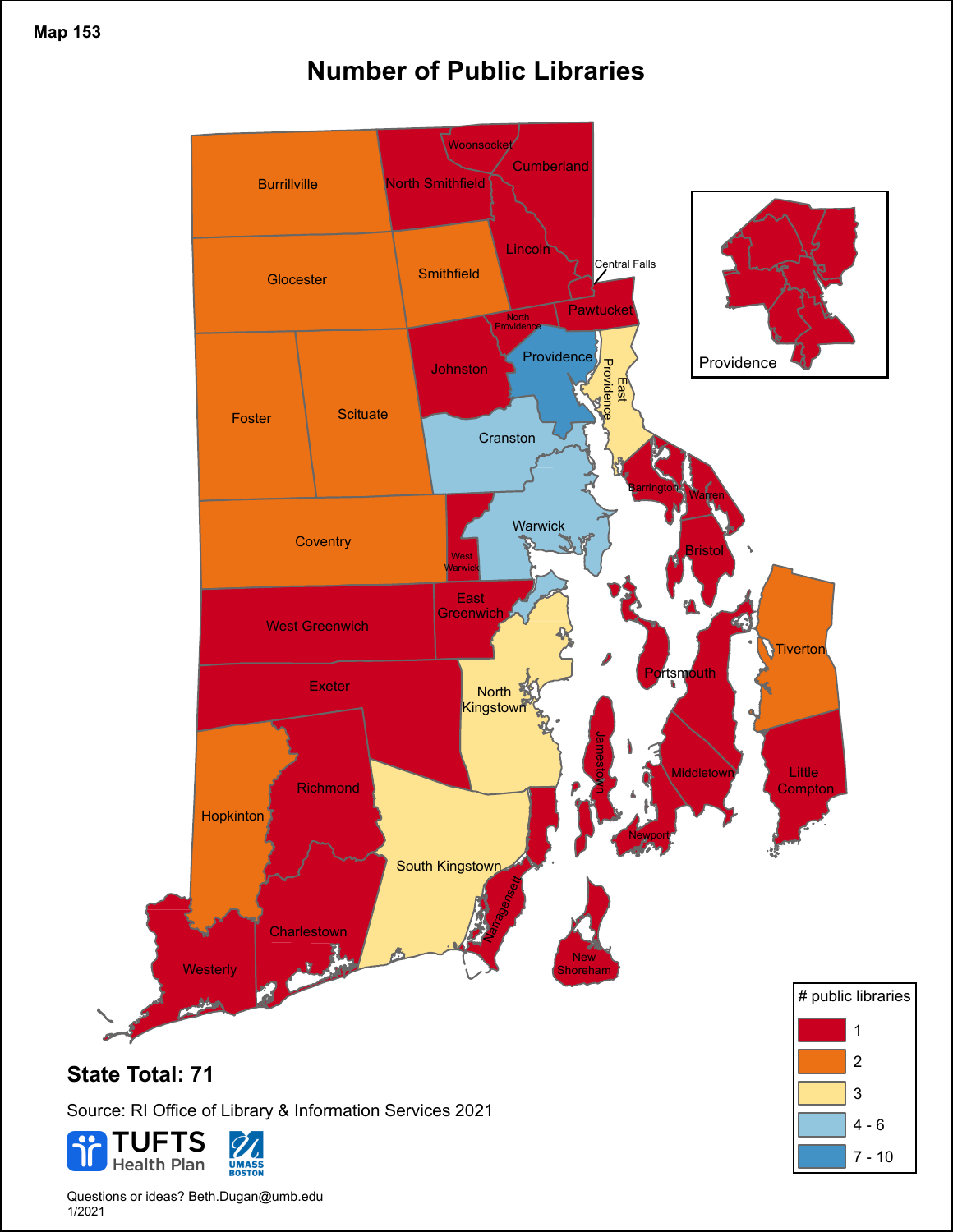## **Number of Public Libraries**



 $4 - 6$ 

7 - 10

Source: RI Office of Library & Information Services 2021



Questions or ideas? Beth.Dugan@umb.edu 1/2021